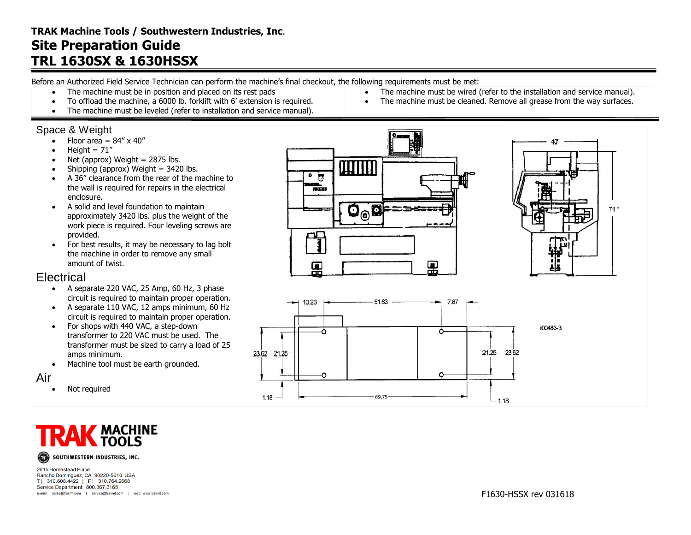## **TRAK Machine Tools / Southwestern Industries, Inc**. **Site Preparation Guide TRL 1630SX & 1630HSSX**

Before an Authorized Field Service Technician can perform the machine's final checkout, the following requirements must be met:

- The machine must be in position and placed on its rest pads
- To offload the machine, a 6000 lb. forklift with 6' extension is required.
- The machine must be leveled (refer to installation and service manual).

### Space & Weight

- $\bullet$  Floor area =  $84'' \times 40''$
- Height =  $71''$
- $\bullet$  Net (approx) Weight = 2875 lbs.
- $\bullet$  Shipping (approx) Weight = 3420 lbs.
- A 36" clearance from the rear of the machine to the wall is required for repairs in the electrical enclosure.
- A solid and level foundation to maintain approximately 3420 lbs. plus the weight of the work piece is required. Four leveling screws are provided.
- For best results, it may be necessary to lag bolt the machine in order to remove any small amount of twist.

### **Electrical**

- $\bullet$  A separate 220 VAC, 25 Amp, 60 Hz, 3 phase circuit is required to maintain proper operation.
- A separate 110 VAC, 12 amps minimum, 60 Hz circuit is required to maintain proper operation.
- For shops with 440 VAC, a step-down transformer to 220 VAC must be used. The transformer must be sized to carry a load of 25 amps minimum.
- Machine tool must be earth grounded.

#### Air

• Not required



2615 Homestead Place Rancho Dominguez, CA 90220-5610 USA T| 310.608.4422 | F| 310.764.2668 Service Department: 800.367.3165 E-mail: sales@trakmt.com | service@trakmt.com | web: www.trakmt.com





• The machine must be wired (refer to the installation and service manual). The machine must be cleaned. Remove all grease from the way surfaces.